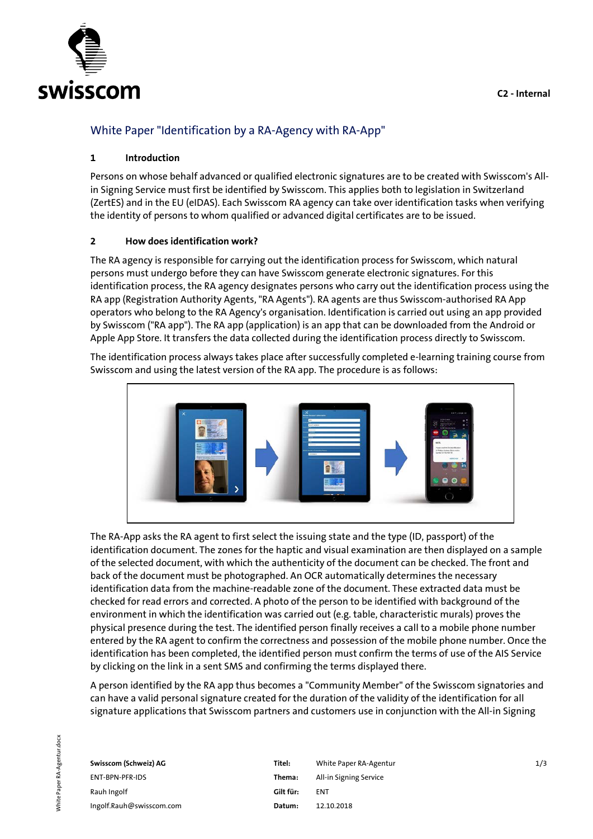

# White Paper "Identification by a RA-Agency with RA-App"

## **1 Introduction**

Persons on whose behalf advanced or qualified electronic signatures are to be created with Swisscom's Allin Signing Service must first be identified by Swisscom. This applies both to legislation in Switzerland (ZertES) and in the EU (eIDAS). Each Swisscom RA agency can take over identification tasks when verifying the identity of persons to whom qualified or advanced digital certificates are to be issued.

#### **2 How does identification work?**

The RA agency is responsible for carrying out the identification process for Swisscom, which natural persons must undergo before they can have Swisscom generate electronic signatures. For this identification process, the RA agency designates persons who carry out the identification process using the RA app (Registration Authority Agents, "RA Agents"). RA agents are thus Swisscom-authorised RA App operators who belong to the RA Agency's organisation. Identification is carried out using an app provided by Swisscom ("RA app"). The RA app (application) is an app that can be downloaded from the Android or Apple App Store. It transfers the data collected during the identification process directly to Swisscom.

The identification process always takes place after successfully completed e-learning training course from Swisscom and using the latest version of the RA app. The procedure is as follows:



The RA-App asks the RA agent to first select the issuing state and the type (ID, passport) of the identification document. The zones for the haptic and visual examination are then displayed on a sample of the selected document, with which the authenticity of the document can be checked. The front and back of the document must be photographed. An OCR automatically determines the necessary identification data from the machine-readable zone of the document. These extracted data must be checked for read errors and corrected. A photo of the person to be identified with background of the environment in which the identification was carried out (e.g. table, characteristic murals) proves the physical presence during the test. The identified person finally receives a call to a mobile phone number entered by the RA agent to confirm the correctness and possession of the mobile phone number. Once the identification has been completed, the identified person must confirm the terms of use of the AIS Service by clicking on the link in a sent SMS and confirming the terms displayed there.

A person identified by the RA app thus becomes a "Community Member" of the Swisscom signatories and can have a valid personal signature created for the duration of the validity of the identification for all signature applications that Swisscom partners and customers use in conjunction with the All-in Signing

| Swisscom (Schweiz) AG    | Titel:    | White Paper RA-Agentur | 1/3 |
|--------------------------|-----------|------------------------|-----|
| ENT-BPN-PFR-IDS          | Thema:    | All-in Signing Service |     |
| Rauh Ingolf              | Gilt für: | <b>ENT</b>             |     |
| Ingolf.Rauh@swisscom.com | Datum:    | 12.10.2018             |     |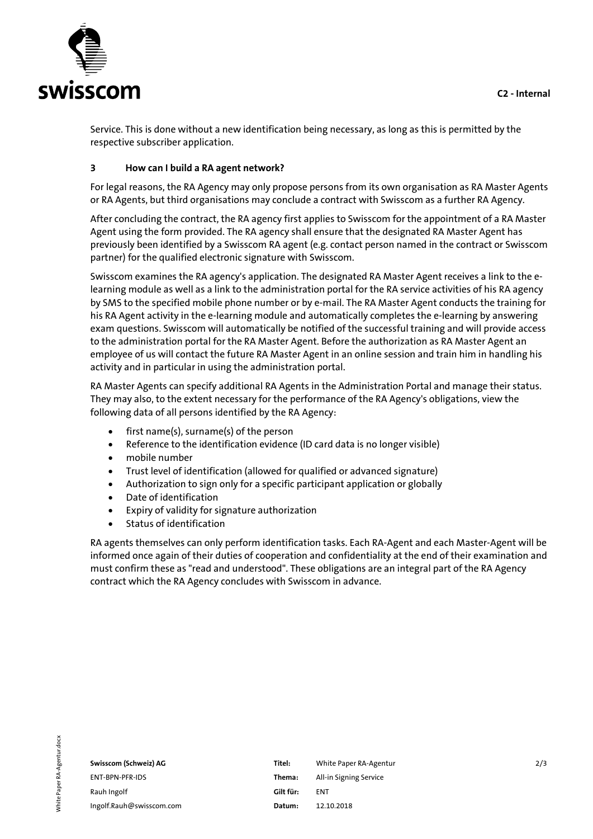

Service. This is done without a new identification being necessary, as long as this is permitted by the respective subscriber application.

## **3 How can I build a RA agent network?**

For legal reasons, the RA Agency may only propose persons from its own organisation as RA Master Agents or RA Agents, but third organisations may conclude a contract with Swisscom as a further RA Agency.

After concluding the contract, the RA agency first applies to Swisscom for the appointment of a RA Master Agent using the form provided. The RA agency shall ensure that the designated RA Master Agent has previously been identified by a Swisscom RA agent (e.g. contact person named in the contract or Swisscom partner) for the qualified electronic signature with Swisscom.

Swisscom examines the RA agency's application. The designated RA Master Agent receives a link to the elearning module as well as a link to the administration portal for the RA service activities of his RA agency by SMS to the specified mobile phone number or by e-mail. The RA Master Agent conducts the training for his RA Agent activity in the e-learning module and automatically completes the e-learning by answering exam questions. Swisscom will automatically be notified of the successful training and will provide access to the administration portal for the RA Master Agent. Before the authorization as RA Master Agent an employee of us will contact the future RA Master Agent in an online session and train him in handling his activity and in particular in using the administration portal.

RA Master Agents can specify additional RA Agents in the Administration Portal and manage their status. They may also, to the extent necessary for the performance of the RA Agency's obligations, view the following data of all persons identified by the RA Agency:

- first name(s), surname(s) of the person
- Reference to the identification evidence (ID card data is no longer visible)
- mobile number
- Trust level of identification (allowed for qualified or advanced signature)
- Authorization to sign only for a specific participant application or globally
- Date of identification
- Expiry of validity for signature authorization
- Status of identification

RA agents themselves can only perform identification tasks. Each RA-Agent and each Master-Agent will be informed once again of their duties of cooperation and confidentiality at the end of their examination and must confirm these as "read and understood". These obligations are an integral part of the RA Agency contract which the RA Agency concludes with Swisscom in advance.